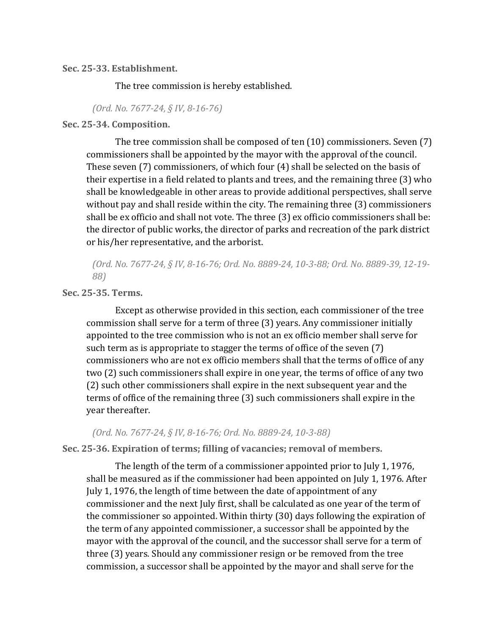**Sec. 25-33. Establishment.**

The tree commission is hereby established.

*(Ord. No. 7677-24, § IV, 8-16-76)*

## **Sec. 25-34. Composition.**

The tree commission shall be composed of ten (10) commissioners. Seven (7) commissioners shall be appointed by the mayor with the approval of the council. These seven (7) commissioners, of which four (4) shall be selected on the basis of their expertise in a field related to plants and trees, and the remaining three (3) who shall be knowledgeable in other areas to provide additional perspectives, shall serve without pay and shall reside within the city. The remaining three (3) commissioners shall be ex officio and shall not vote. The three (3) ex officio commissioners shall be: the director of public works, the director of parks and recreation of the park district or his/her representative, and the arborist.

*(Ord. No. 7677-24, § IV, 8-16-76; Ord. No. 8889-24, 10-3-88; Ord. No. 8889-39, 12-19- 88)*

**Sec. 25-35. Terms.**

Except as otherwise provided in this section, each commissioner of the tree commission shall serve for a term of three (3) years. Any commissioner initially appointed to the tree commission who is not an ex officio member shall serve for such term as is appropriate to stagger the terms of office of the seven (7) commissioners who are not ex officio members shall that the terms of office of any two (2) such commissioners shall expire in one year, the terms of office of any two (2) such other commissioners shall expire in the next subsequent year and the terms of office of the remaining three (3) such commissioners shall expire in the year thereafter.

*(Ord. No. 7677-24, § IV, 8-16-76; Ord. No. 8889-24, 10-3-88)*

**Sec. 25-36. Expiration of terms; filling of vacancies; removal of members.**

The length of the term of a commissioner appointed prior to July 1, 1976, shall be measured as if the commissioner had been appointed on July 1, 1976. After July 1, 1976, the length of time between the date of appointment of any commissioner and the next July first, shall be calculated as one year of the term of the commissioner so appointed. Within thirty (30) days following the expiration of the term of any appointed commissioner, a successor shall be appointed by the mayor with the approval of the council, and the successor shall serve for a term of three (3) years. Should any commissioner resign or be removed from the tree commission, a successor shall be appointed by the mayor and shall serve for the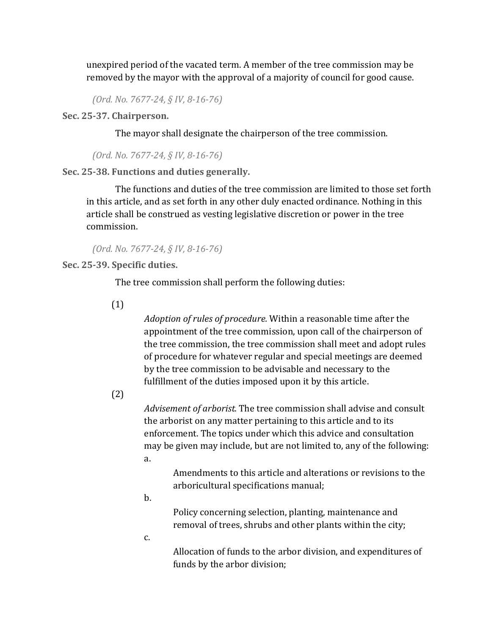unexpired period of the vacated term. A member of the tree commission may be removed by the mayor with the approval of a majority of council for good cause.

*(Ord. No. 7677-24, § IV, 8-16-76)*

**Sec. 25-37. Chairperson.**

The mayor shall designate the chairperson of the tree commission.

*(Ord. No. 7677-24, § IV, 8-16-76)*

**Sec. 25-38. Functions and duties generally.**

The functions and duties of the tree commission are limited to those set forth in this article, and as set forth in any other duly enacted ordinance. Nothing in this article shall be construed as vesting legislative discretion or power in the tree commission.

*(Ord. No. 7677-24, § IV, 8-16-76)*

**Sec. 25-39. Specific duties.**

The tree commission shall perform the following duties:

(1)

*Adoption of rules of procedure.* Within a reasonable time after the appointment of the tree commission, upon call of the chairperson of the tree commission, the tree commission shall meet and adopt rules of procedure for whatever regular and special meetings are deemed by the tree commission to be advisable and necessary to the fulfillment of the duties imposed upon it by this article.

(2)

*Advisement of arborist.* The tree commission shall advise and consult the arborist on any matter pertaining to this article and to its enforcement. The topics under which this advice and consultation may be given may include, but are not limited to, any of the following: a.

Amendments to this article and alterations or revisions to the arboricultural specifications manual;

b.

Policy concerning selection, planting, maintenance and removal of trees, shrubs and other plants within the city;

c.

Allocation of funds to the arbor division, and expenditures of funds by the arbor division;